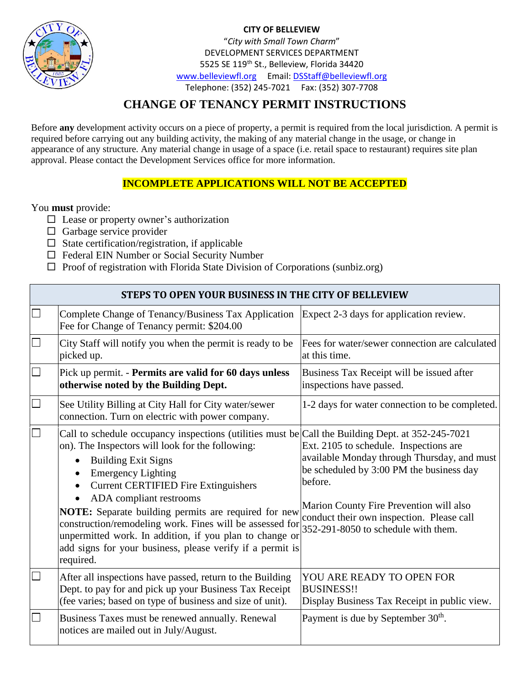

**CITY OF BELLEVIEW** "*City with Small Town Charm*" DEVELOPMENT SERVICES DEPARTMENT 5525 SE 119<sup>th</sup> St., Belleview, Florida 34420 [www.belleviewfl.org](http://www.belleviewfl.org/) Email[: DSStaff@belleviewfl.org](mailto:DSStaff@belleviewfl.org) Telephone: (352) 245-7021 Fax: (352) 307-7708

### **CHANGE OF TENANCY PERMIT INSTRUCTIONS**

Before **any** development activity occurs on a piece of property, a permit is required from the local jurisdiction. A permit is required before carrying out any building activity, the making of any material change in the usage, or change in appearance of any structure. Any material change in usage of a space (i.e. retail space to restaurant) requires site plan approval. Please contact the Development Services office for more information.

### **INCOMPLETE APPLICATIONS WILL NOT BE ACCEPTED**

You **must** provide:

- $\square$  Lease or property owner's authorization
- $\Box$  Garbage service provider
- $\square$  State certification/registration, if applicable
- □ Federal EIN Number or Social Security Number
- $\Box$  Proof of registration with Florida State Division of Corporations (sunbiz.org)

#### **STEPS TO OPEN YOUR BUSINESS IN THE CITY OF BELLEVIEW**

| $\Box$ | Complete Change of Tenancy/Business Tax Application<br>Fee for Change of Tenancy permit: \$204.00                                                                                                                                                                                                                                                                                                                                                                                                                                                            | Expect 2-3 days for application review.                                                                                                                                                                                                                                     |
|--------|--------------------------------------------------------------------------------------------------------------------------------------------------------------------------------------------------------------------------------------------------------------------------------------------------------------------------------------------------------------------------------------------------------------------------------------------------------------------------------------------------------------------------------------------------------------|-----------------------------------------------------------------------------------------------------------------------------------------------------------------------------------------------------------------------------------------------------------------------------|
| $\Box$ | City Staff will notify you when the permit is ready to be<br>picked up.                                                                                                                                                                                                                                                                                                                                                                                                                                                                                      | Fees for water/sewer connection are calculated<br>at this time.                                                                                                                                                                                                             |
| $\Box$ | Pick up permit. - Permits are valid for 60 days unless<br>otherwise noted by the Building Dept.                                                                                                                                                                                                                                                                                                                                                                                                                                                              | Business Tax Receipt will be issued after<br>inspections have passed.                                                                                                                                                                                                       |
| $\Box$ | See Utility Billing at City Hall for City water/sewer<br>connection. Turn on electric with power company.                                                                                                                                                                                                                                                                                                                                                                                                                                                    | 1-2 days for water connection to be completed.                                                                                                                                                                                                                              |
|        | Call to schedule occupancy inspections (utilities must be Call the Building Dept. at $352-245-7021$<br>on). The Inspectors will look for the following:<br><b>Building Exit Signs</b><br><b>Emergency Lighting</b><br><b>Current CERTIFIED Fire Extinguishers</b><br>ADA compliant restrooms<br><b>NOTE:</b> Separate building permits are required for new<br>construction/remodeling work. Fines will be assessed for<br>unpermitted work. In addition, if you plan to change or<br>add signs for your business, please verify if a permit is<br>required. | Ext. 2105 to schedule. Inspections are<br>available Monday through Thursday, and must<br>be scheduled by 3:00 PM the business day<br>before.<br>Marion County Fire Prevention will also<br>conduct their own inspection. Please call<br>352-291-8050 to schedule with them. |
|        | After all inspections have passed, return to the Building<br>Dept. to pay for and pick up your Business Tax Receipt<br>(fee varies; based on type of business and size of unit).                                                                                                                                                                                                                                                                                                                                                                             | YOU ARE READY TO OPEN FOR<br><b>BUSINESS!!</b><br>Display Business Tax Receipt in public view.                                                                                                                                                                              |
|        | Business Taxes must be renewed annually. Renewal<br>notices are mailed out in July/August.                                                                                                                                                                                                                                                                                                                                                                                                                                                                   | Payment is due by September 30 <sup>th</sup> .                                                                                                                                                                                                                              |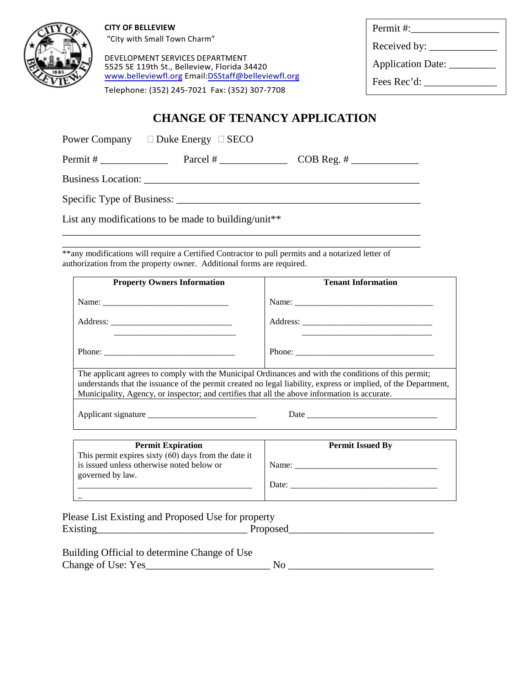

**CITY OF BELLEVIEW**  "City with Small Town Charm"

DEVELOPMENT SERVICES DEPARTMENT 5525 SE 119th St., Belleview, Florida 34420 www.belleviewfl.org Email:DSStaff@belleviewfl.org

Telephone: (352) 245-7021 Fax: (352) 307-7708

| Permit #:          |  |
|--------------------|--|
| Received by: _____ |  |
| Application Date:  |  |
| Fees Rec'd:        |  |
|                    |  |

### **CHANGE OF TENANCY APPLICATION**

Power Company  $\square$  Duke Energy  $\square$  SECO

Permit # \_\_\_\_\_\_\_\_\_\_\_\_\_ Parcel # \_\_\_\_\_\_\_\_\_\_\_\_\_ COB Reg. # \_\_\_\_\_\_\_\_\_\_\_\_\_

Business Location: \_\_\_\_\_\_\_\_\_\_\_\_\_\_\_\_\_\_\_\_\_\_\_\_\_\_\_\_\_\_\_\_\_\_\_\_\_\_\_\_\_\_\_\_\_\_\_\_\_\_\_\_\_

Specific Type of Business: \_\_\_\_\_\_\_\_\_\_\_\_\_\_\_\_\_\_\_\_\_\_\_\_\_\_\_\_\_\_\_\_\_\_\_\_\_\_\_\_\_\_\_\_\_\_\_

List any modifications to be made to building/unit\*\*

\_\_\_\_\_\_\_\_\_\_\_\_\_\_\_\_\_\_\_\_\_\_\_\_\_\_\_\_\_\_\_\_\_\_\_\_\_\_\_\_\_\_\_\_\_\_\_\_\_\_\_\_\_\_\_\_\_\_\_\_\_\_\_\_\_\_\_\_\_ \*\*any modifications will require a Certified Contractor to pull permits and a notarized letter of authorization from the property owner. Additional forms are required.

\_\_\_\_\_\_\_\_\_\_\_\_\_\_\_\_\_\_\_\_\_\_\_\_\_\_\_\_\_\_\_\_\_\_\_\_\_\_\_\_\_\_\_\_\_\_\_\_\_\_\_\_\_\_\_\_\_\_\_\_\_\_\_\_\_\_\_\_\_

| <b>Property Owners Information</b>                                                                                                                                                                                                                                                                                      | <b>Tenant Information</b> |  |
|-------------------------------------------------------------------------------------------------------------------------------------------------------------------------------------------------------------------------------------------------------------------------------------------------------------------------|---------------------------|--|
|                                                                                                                                                                                                                                                                                                                         |                           |  |
|                                                                                                                                                                                                                                                                                                                         |                           |  |
|                                                                                                                                                                                                                                                                                                                         |                           |  |
| The applicant agrees to comply with the Municipal Ordinances and with the conditions of this permit;<br>understands that the issuance of the permit created no legal liability, express or implied, of the Department,<br>Municipality, Agency, or inspector; and certifies that all the above information is accurate. |                           |  |
|                                                                                                                                                                                                                                                                                                                         |                           |  |

| <b>Permit Expiration</b>                               | <b>Permit Issued By</b> |
|--------------------------------------------------------|-------------------------|
| This permit expires sixty $(60)$ days from the date it |                         |
| is issued unless otherwise noted below or              | Name:                   |
| governed by law.                                       |                         |
|                                                        | Date:                   |
|                                                        |                         |

| Please List Existing and Proposed Use for property |          |
|----------------------------------------------------|----------|
| Existing                                           | Proposed |

| Building Official to determine Change of Use |  |
|----------------------------------------------|--|
| Change of Use: Yes_                          |  |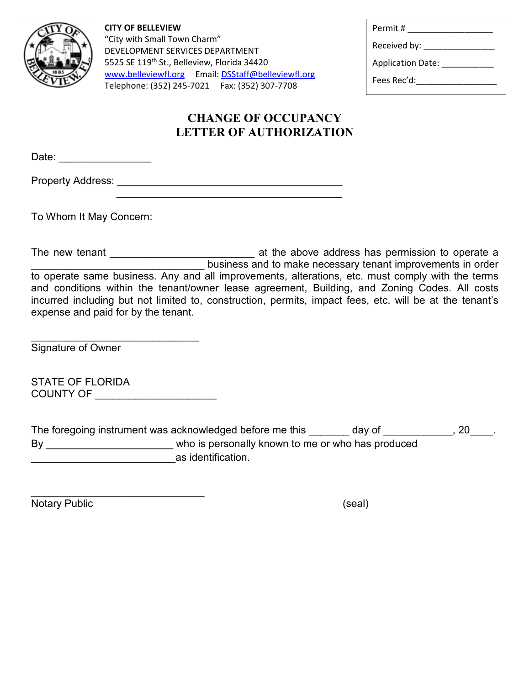

**CITY OF BELLEVIEW** "City with Small Town Charm" DEVELOPMENT SERVICES DEPARTMENT 5525 SE 119<sup>th</sup> St., Belleview, Florida 34420 [www.belleviewfl.org](http://www.belleviewfl.org/) Email[: DSStaff@belleviewfl.org](mailto:DSStaff@belleviewfl.org) Telephone: (352) 245-7021 Fax: (352) 307-7708

| Permit #                 |
|--------------------------|
| Received by:             |
| <b>Application Date:</b> |
| Fees Rec'd:              |
|                          |

# **CHANGE OF OCCUPANCY LETTER OF AUTHORIZATION**

| Date: |  |
|-------|--|
|       |  |

Property Address: \_\_\_\_\_\_\_\_\_\_\_\_\_\_\_\_\_\_\_\_\_\_\_\_\_\_\_\_\_\_\_\_\_\_\_\_\_\_\_

To Whom It May Concern:

The new tenant \_\_\_\_\_\_\_\_\_\_\_\_\_\_\_\_\_\_\_\_\_\_\_\_\_\_\_\_\_\_\_ at the above address has permission to operate a \_\_\_\_\_\_\_\_\_\_\_\_\_\_\_\_\_\_\_\_\_\_\_\_\_\_\_\_\_\_ business and to make necessary tenant improvements in order to operate same business. Any and all improvements, alterations, etc. must comply with the terms and conditions within the tenant/owner lease agreement, Building, and Zoning Codes. All costs incurred including but not limited to, construction, permits, impact fees, etc. will be at the tenant's expense and paid for by the tenant.

\_\_\_\_\_\_\_\_\_\_\_\_\_\_\_\_\_\_\_\_\_\_\_\_\_\_\_\_\_ Signature of Owner

| <b>STATE OF FLORIDA</b> |  |
|-------------------------|--|
| <b>COUNTY OF</b>        |  |

| The foregoing instrument was acknowledged before me this |                                                   | day of | 20 |
|----------------------------------------------------------|---------------------------------------------------|--------|----|
| Bv                                                       | who is personally known to me or who has produced |        |    |
|                                                          | as identification.                                |        |    |

\_\_\_\_\_\_\_\_\_\_\_\_\_\_\_\_\_\_\_\_\_\_\_\_\_\_\_\_\_\_ Notary Public (seal)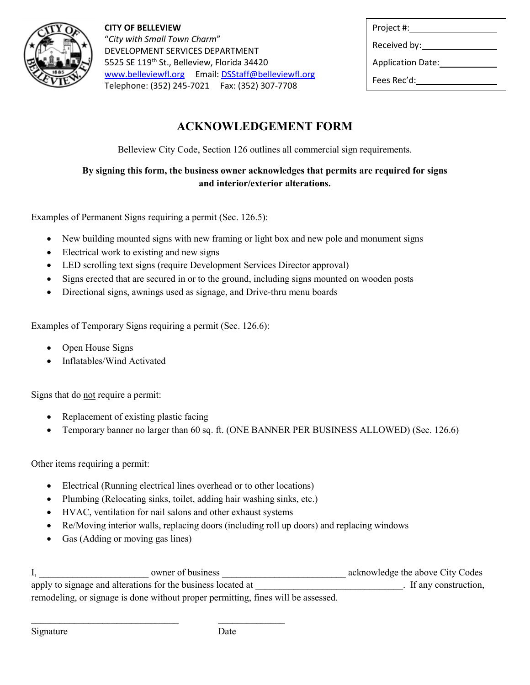

**CITY OF BELLEVIEW** "*City with Small Town Charm*" DEVELOPMENT SERVICES DEPARTMENT 5525 SE 119<sup>th</sup> St., Belleview, Florida 34420 [www.belleviewfl.org](http://www.belleviewfl.org/) Email[: DSStaff@belleviewfl.org](mailto:DSStaff@belleviewfl.org) Telephone: (352) 245-7021 Fax: (352) 307-7708

| Project #:               |  |
|--------------------------|--|
| Received by:             |  |
| <b>Application Date:</b> |  |
| Fees Rec'd:              |  |
|                          |  |

# **ACKNOWLEDGEMENT FORM**

Belleview City Code, Section 126 outlines all commercial sign requirements.

#### **By signing this form, the business owner acknowledges that permits are required for signs and interior/exterior alterations.**

Examples of Permanent Signs requiring a permit (Sec. 126.5):

- New building mounted signs with new framing or light box and new pole and monument signs
- Electrical work to existing and new signs
- LED scrolling text signs (require Development Services Director approval)
- Signs erected that are secured in or to the ground, including signs mounted on wooden posts
- Directional signs, awnings used as signage, and Drive-thru menu boards

Examples of Temporary Signs requiring a permit (Sec. 126.6):

- Open House Signs
- Inflatables/Wind Activated

Signs that do not require a permit:

- Replacement of existing plastic facing
- Temporary banner no larger than 60 sq. ft. (ONE BANNER PER BUSINESS ALLOWED) (Sec. 126.6)

Other items requiring a permit:

- Electrical (Running electrical lines overhead or to other locations)
- Plumbing (Relocating sinks, toilet, adding hair washing sinks, etc.)
- HVAC, ventilation for nail salons and other exhaust systems

\_\_\_\_\_\_\_\_\_\_\_\_\_\_\_\_\_\_\_\_\_\_\_\_\_\_\_\_\_\_\_ \_\_\_\_\_\_\_\_\_\_\_\_\_\_

- Re/Moving interior walls, replacing doors (including roll up doors) and replacing windows
- Gas (Adding or moving gas lines)

| owner of business                                                                 | acknowledge the above City Codes |
|-----------------------------------------------------------------------------------|----------------------------------|
| apply to signage and alterations for the business located at                      | . If any construction,           |
| remodeling, or signage is done without proper permitting, fines will be assessed. |                                  |

Signature Date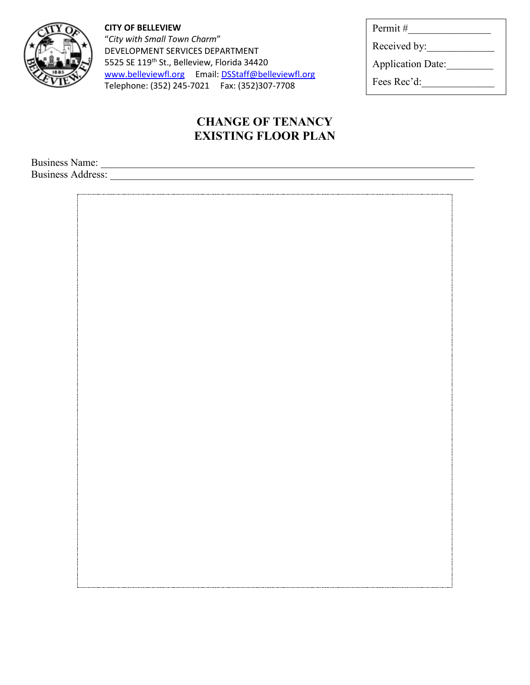

**CITY OF BELLEVIEW** "*City with Small Town Charm*" DEVELOPMENT SERVICES DEPARTMENT 5525 SE 119<sup>th</sup> St., Belleview, Florida 34420 [www.belleviewfl.org](http://www.belleviewfl.org/) Email[: DSStaff@belleviewfl.org](mailto:DSStaff@belleviewfl.org) Telephone: (352) 245-7021 Fax: (352)307-7708

## **CHANGE OF TENANCY EXISTING FLOOR PLAN**

Business Name: \_\_\_\_\_\_\_\_\_\_\_\_\_\_\_\_\_\_\_\_\_\_\_\_\_\_\_\_\_\_\_\_\_\_\_\_\_\_\_\_\_\_\_\_\_\_\_\_\_\_\_\_\_\_\_\_\_\_\_\_\_\_\_\_\_\_\_\_\_\_\_\_

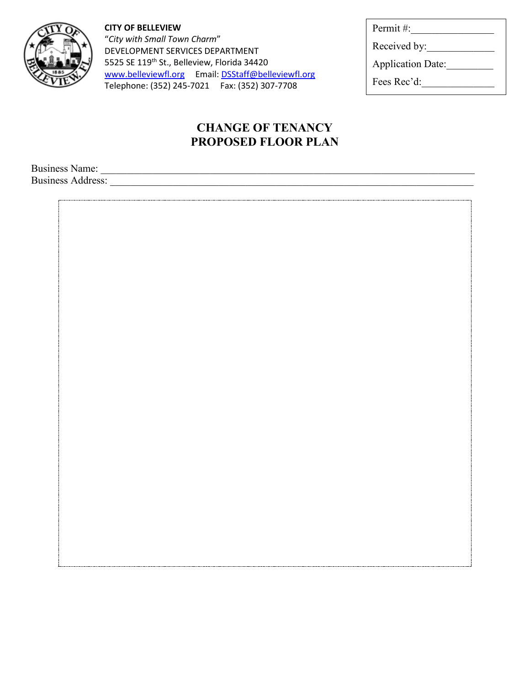

**CITY OF BELLEVIEW** "*City with Small Town Charm*" DEVELOPMENT SERVICES DEPARTMENT 5525 SE 119<sup>th</sup> St., Belleview, Florida 34420 [www.belleviewfl.org](http://www.belleviewfl.org/) Email[: DSStaff@belleviewfl.org](mailto:DSStaff@belleviewfl.org) Telephone: (352) 245-7021 Fax: (352) 307-7708

| Permit#:                 |
|--------------------------|
| Received by:             |
| <b>Application Date:</b> |
| Fees Rec'd:              |
|                          |

## **CHANGE OF TENANCY PROPOSED FLOOR PLAN**

Business Name: \_\_\_\_\_\_\_\_\_\_\_\_\_\_\_\_\_\_\_\_\_\_\_\_\_\_\_\_\_\_\_\_\_\_\_\_\_\_\_\_\_\_\_\_\_\_\_\_\_\_\_\_\_\_\_\_\_\_\_\_\_\_\_\_\_\_\_\_\_\_\_\_ Business Address: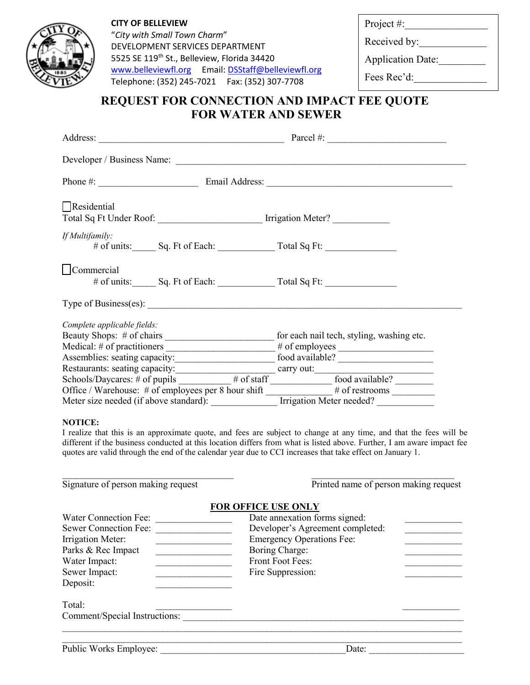

**CITY OF BELLEVIEW** "*City with Small Town Charm*" DEVELOPMENT SERVICES DEPARTMENT 5525 SE 119<sup>th</sup> St., Belleview, Florida 34420 [www.belleviewfl.org](http://www.belleviewfl.org/) Email: [DSStaff@belleviewfl.org](mailto:DSStaff@belleviewfl.org) Telephone: (352) 245-7021 Fax: (352) 307-7708

Project #:\_\_\_\_\_\_\_\_\_\_\_\_\_\_\_\_

Received by:

Application Date:

Fees Rec'd:

### **REQUEST FOR CONNECTION AND IMPACT FEE QUOTE FOR WATER AND SEWER**

|                                                                                                                                                                                                                                                                                           | Parcel #: $\qquad \qquad$ |  |  |
|-------------------------------------------------------------------------------------------------------------------------------------------------------------------------------------------------------------------------------------------------------------------------------------------|---------------------------|--|--|
|                                                                                                                                                                                                                                                                                           |                           |  |  |
|                                                                                                                                                                                                                                                                                           |                           |  |  |
| Residential<br>Total Sq Ft Under Roof: ___________________________ Irrigation Meter? ___________                                                                                                                                                                                          |                           |  |  |
| If Multifamily:                                                                                                                                                                                                                                                                           |                           |  |  |
| Commercial                                                                                                                                                                                                                                                                                |                           |  |  |
| Type of Business(es): $\frac{1}{2}$ and $\frac{1}{2}$ and $\frac{1}{2}$ and $\frac{1}{2}$ and $\frac{1}{2}$ and $\frac{1}{2}$ and $\frac{1}{2}$ and $\frac{1}{2}$ and $\frac{1}{2}$ and $\frac{1}{2}$ and $\frac{1}{2}$ and $\frac{1}{2}$ and $\frac{1}{2}$ and $\frac{1}{2}$ and $\frac$ |                           |  |  |
| Complete applicable fields:<br>Medical: # of practitioners _______________________# of employees _______________                                                                                                                                                                          |                           |  |  |
| Schools/Daycares: # of pupils ________ # of staff ________ food available? _____<br>Office / Warehouse: # of employees per 8 hour shift # of restrooms<br>Meter size needed (if above standard): _______________ Irrigation Meter needed? ____________________                            |                           |  |  |

#### **NOTICE:**

I realize that this is an approximate quote, and fees are subject to change at any time, and that the fees will be different if the business conducted at this location differs from what is listed above. Further, I am aware impact fee quotes are valid through the end of the calendar year due to CCI increases that take effect on January 1.

| Signature of person making request                                                                                                                                                        | Printed name of person making request                                                                                                                                                                 |  |  |
|-------------------------------------------------------------------------------------------------------------------------------------------------------------------------------------------|-------------------------------------------------------------------------------------------------------------------------------------------------------------------------------------------------------|--|--|
| Water Connection Fee:<br><b>Sewer Connection Fee:</b><br>Irrigation Meter:<br>Parks & Rec Impact<br>Water Impact:<br>Sewer Impact:<br>Deposit:<br>Total:<br>Comment/Special Instructions: | <b>FOR OFFICE USE ONLY</b><br>Date annexation forms signed:<br>Developer's Agreement completed:<br><b>Emergency Operations Fee:</b><br>Boring Charge:<br><b>Front Foot Fees:</b><br>Fire Suppression: |  |  |
| Public Works Employee:                                                                                                                                                                    | Date:                                                                                                                                                                                                 |  |  |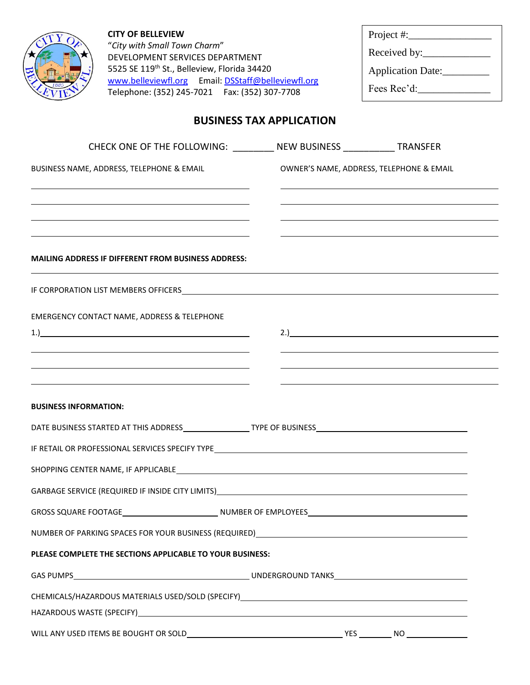| <b>CITY OF BELLEVIEW</b><br>"City with Small Town Charm"<br>DEVELOPMENT SERVICES DEPARTMENT |                                                                                                                                                                                                                               |                                 | Project #:                               |
|---------------------------------------------------------------------------------------------|-------------------------------------------------------------------------------------------------------------------------------------------------------------------------------------------------------------------------------|---------------------------------|------------------------------------------|
|                                                                                             |                                                                                                                                                                                                                               |                                 |                                          |
|                                                                                             | 5525 SE 119th St., Belleview, Florida 34420                                                                                                                                                                                   |                                 | Application Date:                        |
|                                                                                             | www.belleviewfl.org Email: DSStaff@belleviewfl.org<br>Telephone: (352) 245-7021    Fax: (352) 307-7708                                                                                                                        |                                 | $\text{Fees Rec'd:}\n$                   |
|                                                                                             |                                                                                                                                                                                                                               | <b>BUSINESS TAX APPLICATION</b> |                                          |
|                                                                                             | CHECK ONE OF THE FOLLOWING: __________ NEW BUSINESS ____________ TRANSFER                                                                                                                                                     |                                 |                                          |
|                                                                                             | BUSINESS NAME, ADDRESS, TELEPHONE & EMAIL                                                                                                                                                                                     |                                 | OWNER'S NAME, ADDRESS, TELEPHONE & EMAIL |
|                                                                                             |                                                                                                                                                                                                                               |                                 |                                          |
|                                                                                             |                                                                                                                                                                                                                               |                                 |                                          |
|                                                                                             |                                                                                                                                                                                                                               |                                 |                                          |
|                                                                                             |                                                                                                                                                                                                                               |                                 |                                          |
|                                                                                             | <b>MAILING ADDRESS IF DIFFERENT FROM BUSINESS ADDRESS:</b>                                                                                                                                                                    |                                 |                                          |
|                                                                                             | IF CORPORATION LIST MEMBERS OFFICERS <b>And Contain the CORPORATION</b> LIST MEMBERS OF THE RESEARCH OF THE RESEARCH OF                                                                                                       |                                 |                                          |
|                                                                                             |                                                                                                                                                                                                                               |                                 |                                          |
|                                                                                             | <b>EMERGENCY CONTACT NAME, ADDRESS &amp; TELEPHONE</b><br>$1.$ )                                                                                                                                                              |                                 | $2.$ )                                   |
|                                                                                             | <u> 1989 - Johann Stoff, amerikansk politiker (* 1908)</u>                                                                                                                                                                    |                                 |                                          |
|                                                                                             |                                                                                                                                                                                                                               |                                 |                                          |
|                                                                                             |                                                                                                                                                                                                                               |                                 |                                          |
| <b>BUSINESS INFORMATION:</b>                                                                |                                                                                                                                                                                                                               |                                 |                                          |
|                                                                                             |                                                                                                                                                                                                                               |                                 |                                          |
|                                                                                             |                                                                                                                                                                                                                               |                                 |                                          |
|                                                                                             | SHOPPING CENTER NAME, IF APPLICABLE SALE AND A CHARGE AND A CHARGE AND A CHARGE AND A CHARGE AND A CHARGE AND A                                                                                                               |                                 |                                          |
|                                                                                             | GARBAGE SERVICE (REQUIRED IF INSIDE CITY LIMITS) CONTRACT CONTRACT CONTRACT CONTRACT CONTRACT CONTROL CONTROL CONTROL CONTROL CONTROL CONTROL CONTROL CONTROL CONTROL CONTROL CONTROL CONTROL CONTROL CONTROL CONTROL CONTROL |                                 |                                          |
|                                                                                             |                                                                                                                                                                                                                               |                                 |                                          |
|                                                                                             |                                                                                                                                                                                                                               |                                 |                                          |
|                                                                                             | PLEASE COMPLETE THE SECTIONS APPLICABLE TO YOUR BUSINESS:                                                                                                                                                                     |                                 |                                          |
|                                                                                             |                                                                                                                                                                                                                               |                                 |                                          |
|                                                                                             |                                                                                                                                                                                                                               |                                 |                                          |
|                                                                                             | HAZARDOUS WASTE (SPECIFY) And the state of the state of the state of the state of the state of the state of the state of the state of the state of the state of the state of the state of the state of the state of the state |                                 |                                          |
|                                                                                             |                                                                                                                                                                                                                               |                                 |                                          |